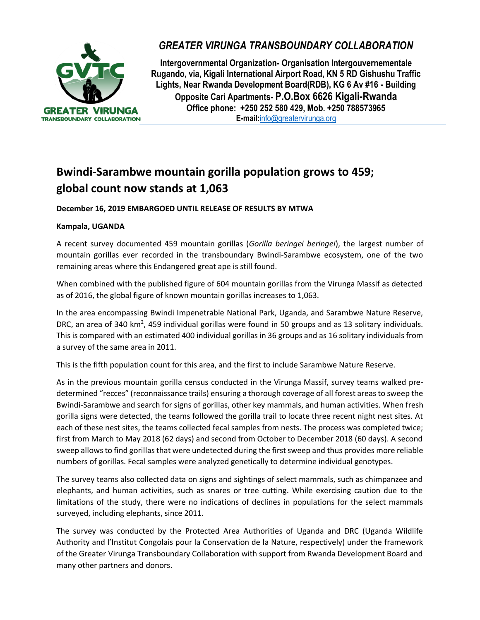

## *GREATER VIRUNGA TRANSBOUNDARY COLLABORATION*

**Intergovernmental Organization- Organisation Intergouvernementale Rugando, via, Kigali International Airport Road, KN 5 RD Gishushu Traffic Lights, Near Rwanda Development Board(RDB), KG 6 Av #16 - Building Opposite Cari Apartments- P.O.Box 6626 Kigali-Rwanda Office phone: +250 252 580 429, Mob. +250 788573965 E-mail:**[info@greatervirunga.org](mailto:info@greatervirunga.org)

# **Bwindi-Sarambwe mountain gorilla population grows to 459; global count now stands at 1,063**

### **December 16, 2019 EMBARGOED UNTIL RELEASE OF RESULTS BY MTWA**

#### **Kampala, UGANDA**

A recent survey documented 459 mountain gorillas (*Gorilla beringei beringei*), the largest number of mountain gorillas ever recorded in the transboundary Bwindi-Sarambwe ecosystem, one of the two remaining areas where this Endangered great ape is still found.

When combined with the published figure of 604 mountain gorillas from the Virunga Massif as detected as of 2016, the global figure of known mountain gorillas increases to 1,063.

In the area encompassing Bwindi Impenetrable National Park, Uganda, and Sarambwe Nature Reserve, DRC, an area of 340 km<sup>2</sup>, 459 individual gorillas were found in 50 groups and as 13 solitary individuals. This is compared with an estimated 400 individual gorillas in 36 groups and as 16 solitary individuals from a survey of the same area in 2011.

This is the fifth population count for this area, and the first to include Sarambwe Nature Reserve.

As in the previous mountain gorilla census conducted in the Virunga Massif, survey teams walked predetermined "recces" (reconnaissance trails) ensuring a thorough coverage of all forest areas to sweep the Bwindi-Sarambwe and search for signs of gorillas, other key mammals, and human activities. When fresh gorilla signs were detected, the teams followed the gorilla trail to locate three recent night nest sites. At each of these nest sites, the teams collected fecal samples from nests. The process was completed twice; first from March to May 2018 (62 days) and second from October to December 2018 (60 days). A second sweep allows to find gorillas that were undetected during the first sweep and thus provides more reliable numbers of gorillas. Fecal samples were analyzed genetically to determine individual genotypes.

The survey teams also collected data on signs and sightings of select mammals, such as chimpanzee and elephants, and human activities, such as snares or tree cutting. While exercising caution due to the limitations of the study, there were no indications of declines in populations for the select mammals surveyed, including elephants, since 2011.

The survey was conducted by the Protected Area Authorities of Uganda and DRC (Uganda Wildlife Authority and l'Institut Congolais pour la Conservation de la Nature, respectively) under the framework of the Greater Virunga Transboundary Collaboration with support from Rwanda Development Board and many other partners and donors.